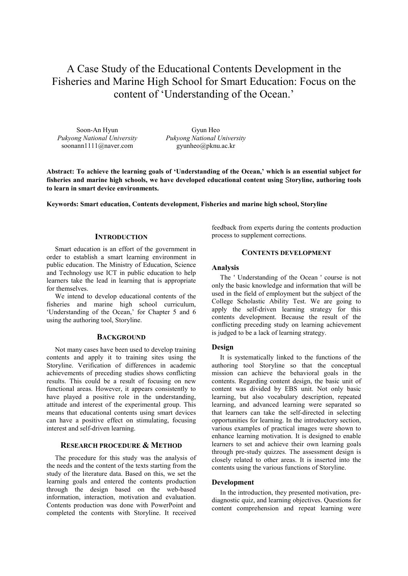# A Case Study of the Educational Contents Development in the Fisheries and Marine High School for Smart Education: Focus on the content of 'Understanding of the Ocean.'

Soon-An Hyun *Pukyong National University* soonann1111@naver.com

Gyun Heo *Pukyong National University*  gyunheo@pknu.ac.kr

**Abstract: To achieve the learning goals of 'Understanding of the Ocean,' which is an essential subject for fisheries and marine high schools, we have developed educational content using** S**toryline, authoring tools to learn in smart device environments.** 

**Keywords: Smart education, Contents development, Fisheries and marine high school, Storyline** 

## **INTRODUCTION**

Smart education is an effort of the government in order to establish a smart learning environment in public education. The Ministry of Education, Science and Technology use ICT in public education to help learners take the lead in learning that is appropriate for themselves.

We intend to develop educational contents of the fisheries and marine high school curriculum, 'Understanding of the Ocean,' for Chapter 5 and 6 using the authoring tool, Storyline.

# **BACKGROUND**

Not many cases have been used to develop training contents and apply it to training sites using the Storyline. Verification of differences in academic achievements of preceding studies shows conflicting results. This could be a result of focusing on new functional areas. However, it appears consistently to have played a positive role in the understanding, attitude and interest of the experimental group. This means that educational contents using smart devices can have a positive effect on stimulating, focusing interest and self-driven learning.

## **RESEARCH PROCEDURE & METHOD**

The procedure for this study was the analysis of the needs and the content of the texts starting from the study of the literature data. Based on this, we set the learning goals and entered the contents production through the design based on the web-based information, interaction, motivation and evaluation. Contents production was done with PowerPoint and completed the contents with Storyline. It received

feedback from experts during the contents production process to supplement corrections.

## **CONTENTS DEVELOPMENT**

## **Analysis**

The ' Understanding of the Ocean ' course is not only the basic knowledge and information that will be used in the field of employment but the subject of the College Scholastic Ability Test. We are going to apply the self-driven learning strategy for this contents development. Because the result of the conflicting preceding study on learning achievement is judged to be a lack of learning strategy.

#### **Design**

It is systematically linked to the functions of the authoring tool Storyline so that the conceptual mission can achieve the behavioral goals in the contents. Regarding content design, the basic unit of content was divided by EBS unit. Not only basic learning, but also vocabulary description, repeated learning, and advanced learning were separated so that learners can take the self-directed in selecting opportunities for learning. In the introductory section, various examples of practical images were shown to enhance learning motivation. It is designed to enable learners to set and achieve their own learning goals through pre-study quizzes. The assessment design is closely related to other areas. It is inserted into the contents using the various functions of Storyline.

#### **Development**

In the introduction, they presented motivation, prediagnostic quiz, and learning objectives. Questions for content comprehension and repeat learning were